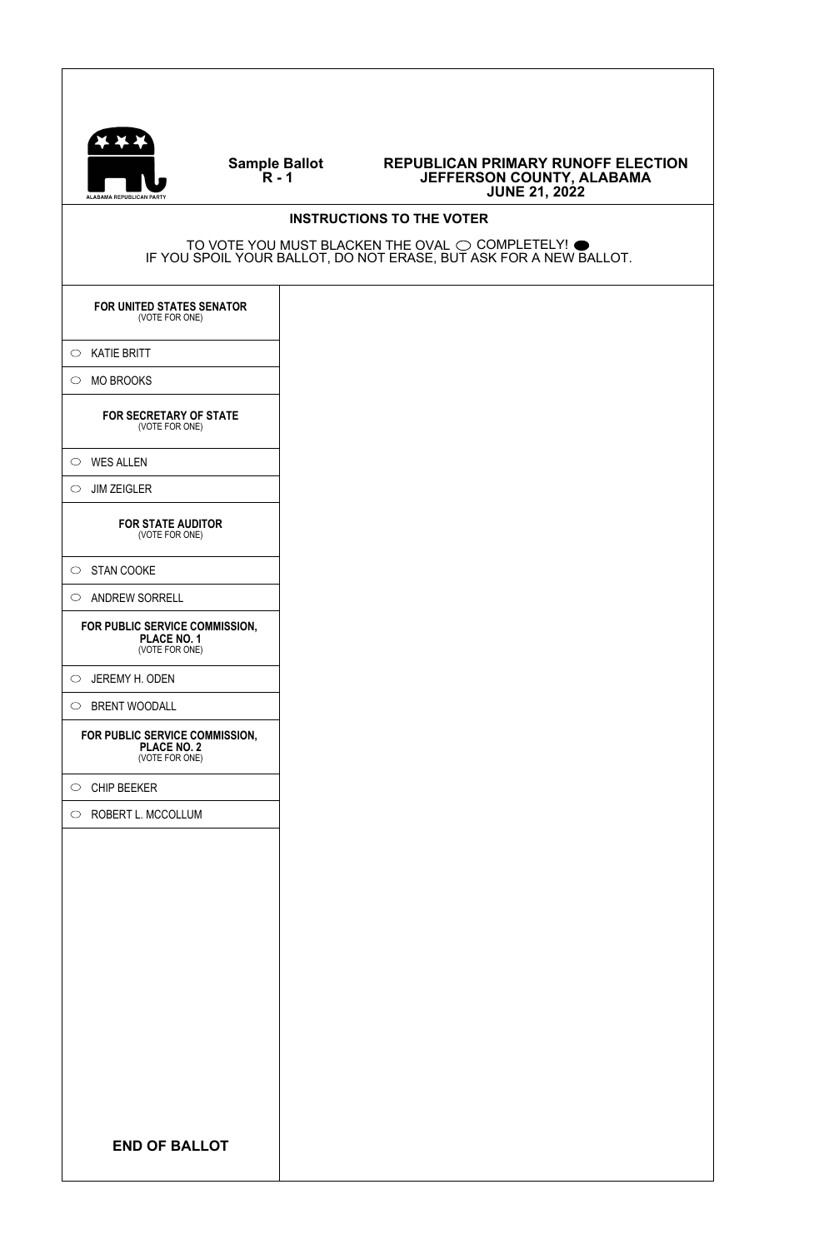

### **Sample Ballot R - 1**

#### **REPUBLICAN PRIMARY RUNOFF ELECTION JEFFERSON COUNTY, ALABAMA JUNE 21, 2022**

# **INSTRUCTIONS TO THE VOTER** TO VOTE YOU MUST BLACKEN THE OVAL  $\bigcirc$  completely!  $\bullet$ IF YOU SPOIL YOUR BALLOT, DO NOT ERASE, BUT ASK FOR A NEW BALLOT. **END OF BALLOT FOR UNITED STATES SENATOR** (VOTE FOR ONE)  $\circ$  KATIE BRITT  $\circ$  MO BROOKS **FOR SECRETARY OF STATE** (VOTE FOR ONE)  $\circ$  WES ALLEN  $\circ$  JIM ZEIGLER **FOR STATE AUDITOR** (VOTE FOR ONE)  $\circ$  STAN COOKE  $\circlearrowright$  ANDREW SORRELL **FOR PUBLIC SERVICE COMMISSION, PLACE NO. 1** (VOTE FOR ONE) JEREMY H. ODEN  $\circledcirc$  BRENT WOODALL **FOR PUBLIC SERVICE COMMISSION, PLACE NO. 2** (VOTE FOR ONE)  $\circ$  CHIP BEEKER  $\circlearrowright$  ROBERT L. MCCOLLUM